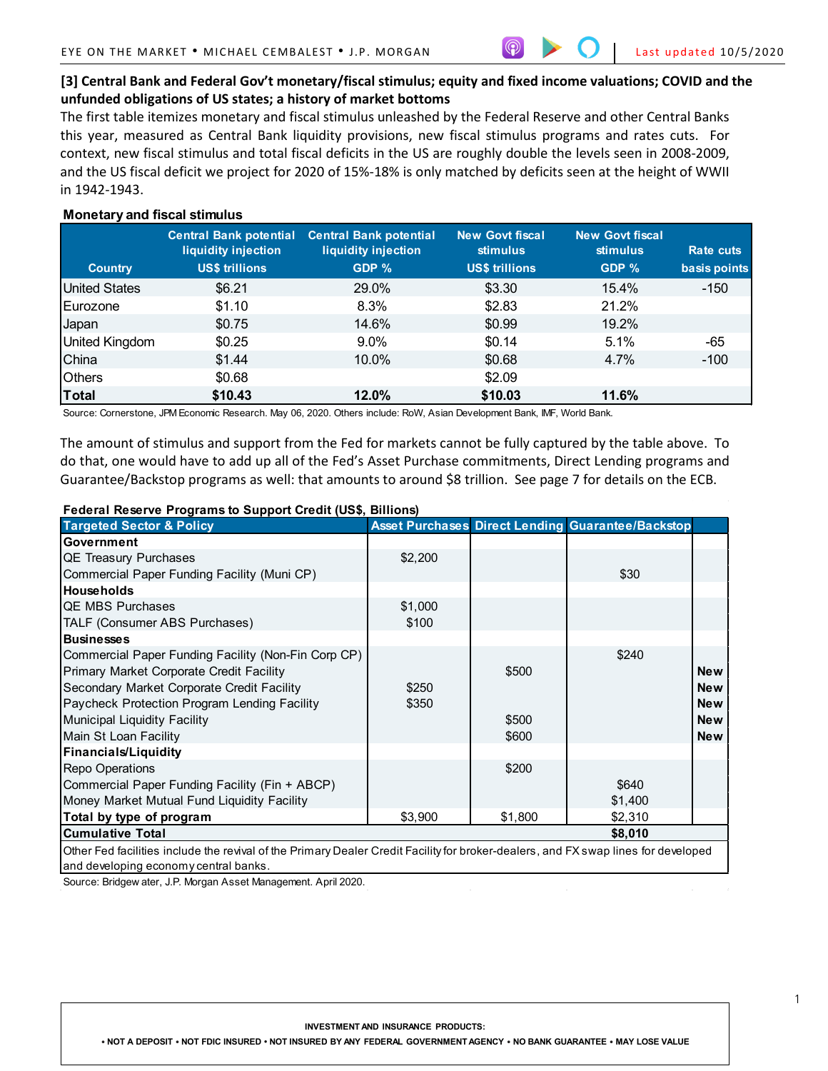## **[3] Central Bank and Federal Gov't monetary/fiscal stimulus; equity and fixed income valuations; COVID and the unfunded obligations of US states; a history of market bottoms**

The first table itemizes monetary and fiscal stimulus unleashed by the Federal Reserve and other Central Banks this year, measured as Central Bank liquidity provisions, new fiscal stimulus programs and rates cuts. For context, new fiscal stimulus and total fiscal deficits in the US are roughly double the levels seen in 2008-2009, and the US fiscal deficit we project for 2020 of 15%-18% is only matched by deficits seen at the height of WWII in 1942-1943.

### **Monetary and fiscal stimulus**

| <b>Country</b>        | <b>Central Bank potential</b><br>liquidity injection<br><b>US\$ trillions</b> | <b>Central Bank potential</b><br>liquidity injection<br>GDP % | <b>New Govt fiscal</b><br><b>stimulus</b><br><b>US\$ trillions</b> | <b>New Govt fiscal</b><br><b>stimulus</b><br>GDP % | <b>Rate cuts</b><br>basis points |
|-----------------------|-------------------------------------------------------------------------------|---------------------------------------------------------------|--------------------------------------------------------------------|----------------------------------------------------|----------------------------------|
| United States         | \$6.21                                                                        | 29.0%                                                         | \$3.30                                                             | 15.4%                                              | $-150$                           |
| Eurozone              | \$1.10                                                                        | 8.3%                                                          | \$2.83                                                             | 21.2%                                              |                                  |
| Japan                 | \$0.75                                                                        | 14.6%                                                         | \$0.99                                                             | 19.2%                                              |                                  |
| <b>United Kingdom</b> | \$0.25                                                                        | $9.0\%$                                                       | \$0.14                                                             | 5.1%                                               | -65                              |
| China                 | \$1.44                                                                        | 10.0%                                                         | \$0.68                                                             | 4.7%                                               | $-100$                           |
| <b>Others</b>         | \$0.68                                                                        |                                                               | \$2.09                                                             |                                                    |                                  |
| Total                 | \$10.43                                                                       | $12.0\%$                                                      | \$10.03                                                            | 11.6%                                              |                                  |

Source: Cornerstone, JPM Economic Research. May 06, 2020. Others include: RoW, Asian Development Bank, IMF, World Bank.

The amount of stimulus and support from the Fed for markets cannot be fully captured by the table above. To do that, one would have to add up all of the Fed's Asset Purchase commitments, Direct Lending programs and Guarantee/Backstop programs as well: that amounts to around \$8 trillion. See page 7 for details on the ECB.

### **Federal Reserve Programs to Support Credit (US\$, Billions)**

| <b>Targeted Sector &amp; Policy</b>                                                                                               |         |         | <b>Asset Purchases Direct Lending Guarantee/Backstop</b> |            |  |
|-----------------------------------------------------------------------------------------------------------------------------------|---------|---------|----------------------------------------------------------|------------|--|
| <b>Government</b>                                                                                                                 |         |         |                                                          |            |  |
| QE Treasury Purchases                                                                                                             | \$2,200 |         |                                                          |            |  |
| Commercial Paper Funding Facility (Muni CP)                                                                                       |         |         | \$30                                                     |            |  |
| <b>Households</b>                                                                                                                 |         |         |                                                          |            |  |
| IQE MBS Purchases                                                                                                                 | \$1,000 |         |                                                          |            |  |
| TALF (Consumer ABS Purchases)                                                                                                     | \$100   |         |                                                          |            |  |
| <b>Businesses</b>                                                                                                                 |         |         |                                                          |            |  |
| Commercial Paper Funding Facility (Non-Fin Corp CP)                                                                               |         |         | \$240                                                    |            |  |
| Primary Market Corporate Credit Facility                                                                                          |         | \$500   |                                                          | <b>New</b> |  |
| Secondary Market Corporate Credit Facility                                                                                        | \$250   |         |                                                          | <b>New</b> |  |
| Paycheck Protection Program Lending Facility                                                                                      | \$350   |         |                                                          | <b>New</b> |  |
| Municipal Liquidity Facility                                                                                                      |         | \$500   |                                                          | <b>New</b> |  |
| Main St Loan Facility                                                                                                             |         | \$600   |                                                          | <b>New</b> |  |
| <b>Financials/Liquidity</b>                                                                                                       |         |         |                                                          |            |  |
| Repo Operations                                                                                                                   |         | \$200   |                                                          |            |  |
| Commercial Paper Funding Facility (Fin + ABCP)                                                                                    |         |         | \$640                                                    |            |  |
| Money Market Mutual Fund Liquidity Facility                                                                                       |         |         | \$1,400                                                  |            |  |
| Total by type of program                                                                                                          | \$3,900 | \$1,800 | \$2,310                                                  |            |  |
| <b>Cumulative Total</b><br>\$8,010                                                                                                |         |         |                                                          |            |  |
| Other Ead feailtice include the revival of the Drimery Dealer Credit Eagility for broker dealers, and EV swan lines for developed |         |         |                                                          |            |  |

Other Fed facilities include the revival of the Primary Dealer Credit Facility for broker-dealers, and FX swap lines for developed and developing economy central banks.

Source: Bridgew ater, J.P. Morgan Asset Management. April 2020.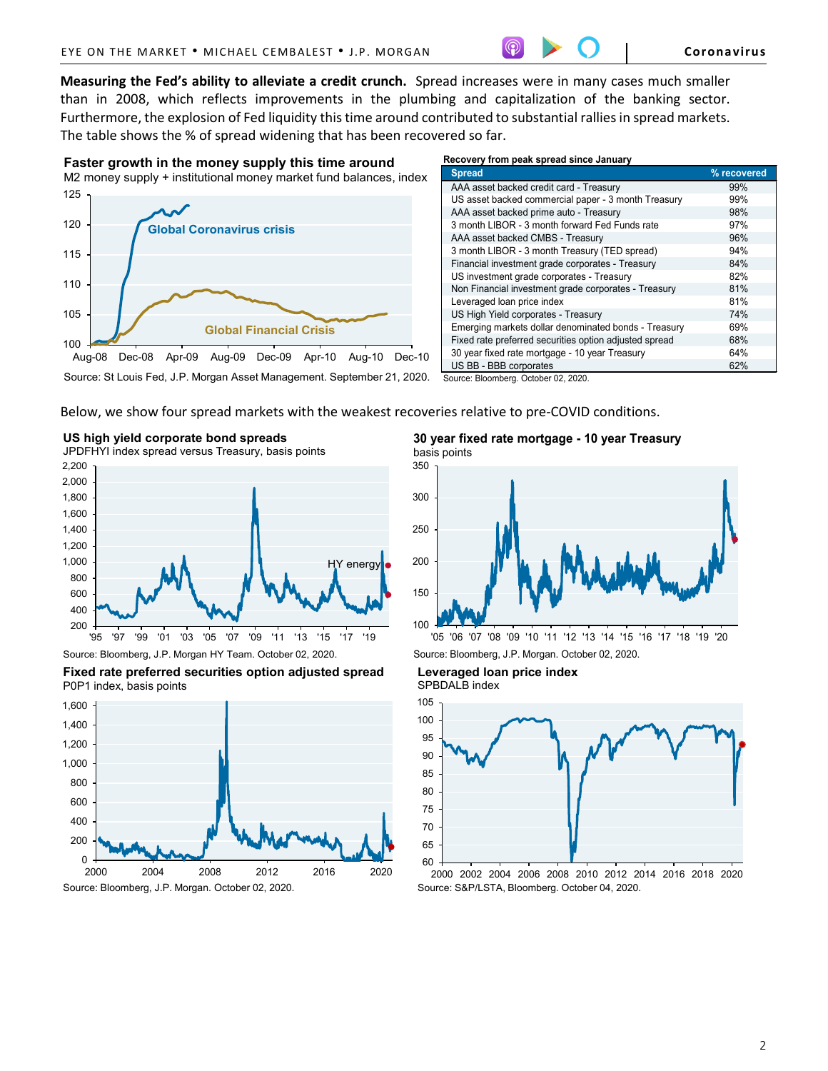**Measuring the Fed's ability to alleviate a credit crunch.** Spread increases were in many cases much smaller than in 2008, which reflects improvements in the plumbing and capitalization of the banking sector. Furthermore, the explosion of Fed liquidity this time around contributed to substantial rallies in spread markets. The table shows the % of spread widening that has been recovered so far.

## **Faster growth in the money supply this time around**





Source: St Louis Fed, J.P. Morgan Asset Management. September 21, 2020.

**Recovery from peak spread since January**

| <b>Spread</b>                                          | % recovered |
|--------------------------------------------------------|-------------|
| AAA asset backed credit card - Treasury                | 99%         |
| US asset backed commercial paper - 3 month Treasury    | 99%         |
| AAA asset backed prime auto - Treasury                 | 98%         |
| 3 month LIBOR - 3 month forward Fed Funds rate         | 97%         |
| AAA asset backed CMBS - Treasury                       | 96%         |
| 3 month LIBOR - 3 month Treasury (TED spread)          | 94%         |
| Financial investment grade corporates - Treasury       | 84%         |
| US investment grade corporates - Treasury              | 82%         |
| Non Financial investment grade corporates - Treasury   | 81%         |
| Leveraged loan price index                             | 81%         |
| US High Yield corporates - Treasury                    | 74%         |
| Emerging markets dollar denominated bonds - Treasury   | 69%         |
| Fixed rate preferred securities option adjusted spread | 68%         |
| 30 year fixed rate mortgage - 10 year Treasury         | 64%         |
| US BB - BBB corporates                                 | 62%         |

Source: Bloomberg. October 02, 2020.

#### Below, we show four spread markets with the weakest recoveries relative to pre-COVID conditions.

#### energ 200 400 600 800 1,000 1,200 1,400 1,600 1,800 2,000 2,200 '95 '97 '99 '01 '03 '05 '07 '09 '11 '13 '15 '17 '19 Source: Bloomberg, J.P. Morgan HY Team. October 02, 2020. **US high yield corporate bond spreads** JPDFHYI index spread versus Treasury, basis points

**Fixed rate preferred securities option adjusted spread** P0P1 index, basis points



# **30 year fixed rate mortgage - 10 year Treasury**



'05 '06 '07 '08 '09 '10 '11 '12 '13 '14 '15 '16 '17 '18 '19 '20 Source: Bloomberg, J.P. Morgan. October 02, 2020.

### **Leveraged loan price index** SPBDALB index



2000 2002 2004 2006 2008 2010 2012 2014 2016 2018 2020 Source: S&P/LSTA, Bloomberg. October 04, 2020.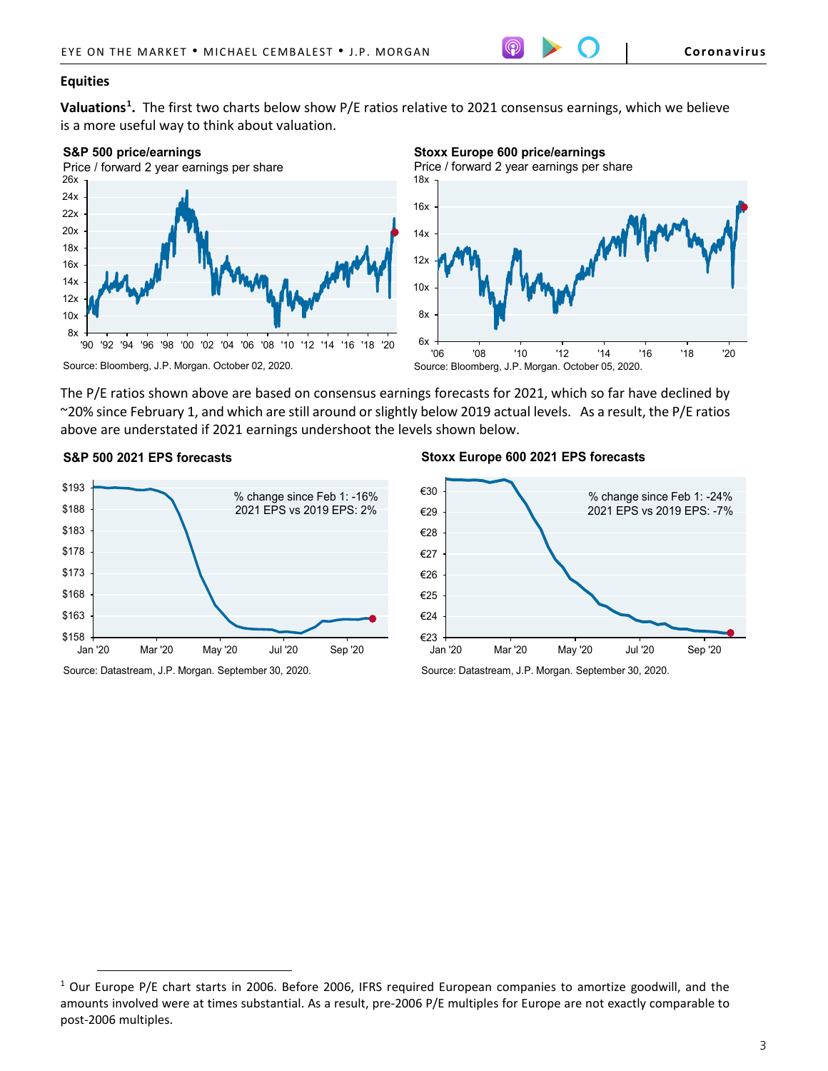## **Equities**

**Valuations[1](#page-2-0) .** The first two charts below show P/E ratios relative to 2021 consensus earnings, which we believe is a more useful way to think about valuation.

#### **S&P 500 price/earnings**





Source: Bloomberg, J.P. Morgan. October 02, 2020.

The P/E ratios shown above are based on consensus earnings forecasts for 2021, which so far have declined by ~20% since February 1, and which are still around or slightly below 2019 actual levels. As a result, the P/E ratios above are understated if 2021 earnings undershoot the levels shown below.

### **S&P 500 2021 EPS forecasts**

 $\overline{a}$ 



#### **Stoxx Europe 600 2021 EPS forecasts**



Source: Datastream, J.P. Morgan. September 30, 2020.

<span id="page-2-0"></span> $1$  Our Europe P/E chart starts in 2006. Before 2006, IFRS required European companies to amortize goodwill, and the amounts involved were at times substantial. As a result, pre-2006 P/E multiples for Europe are not exactly comparable to post-2006 multiples.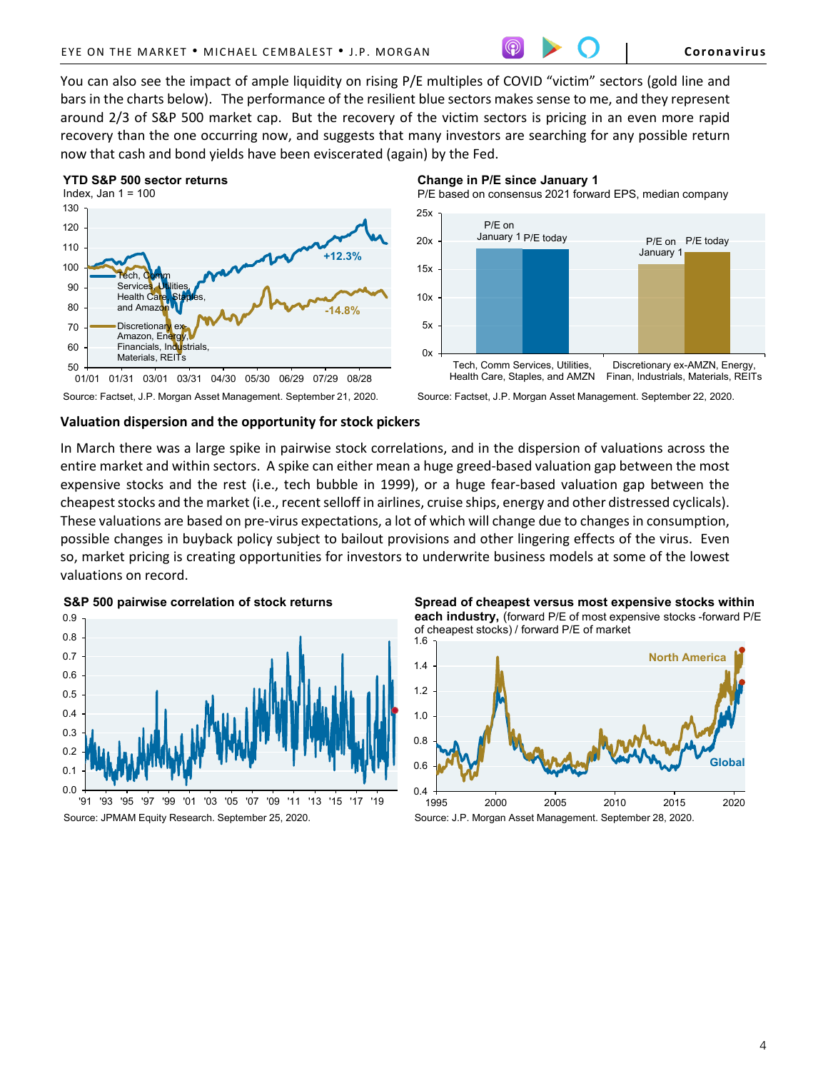You can also see the impact of ample liquidity on rising P/E multiples of COVID "victim" sectors (gold line and bars in the charts below). The performance of the resilient blue sectors makes sense to me, and they represent around 2/3 of S&P 500 market cap. But the recovery of the victim sectors is pricing in an even more rapid recovery than the one occurring now, and suggests that many investors are searching for any possible return now that cash and bond yields have been eviscerated (again) by the Fed.

## **YTD S&P 500 sector returns**



Source: Factset, J.P. Morgan Asset Management. September 21, 2020.

**Change in P/E since January 1**

P/E based on consensus 2021 forward EPS, median company



Source: Factset, J.P. Morgan Asset Management. September 22, 2020.

## **Valuation dispersion and the opportunity for stock pickers**

In March there was a large spike in pairwise stock correlations, and in the dispersion of valuations across the entire market and within sectors. A spike can either mean a huge greed-based valuation gap between the most expensive stocks and the rest (i.e., tech bubble in 1999), or a huge fear-based valuation gap between the cheapest stocks and the market (i.e., recent selloff in airlines, cruise ships, energy and other distressed cyclicals). These valuations are based on pre-virus expectations, a lot of which will change due to changes in consumption, possible changes in buyback policy subject to bailout provisions and other lingering effects of the virus. Even so, market pricing is creating opportunities for investors to underwrite business models at some of the lowest valuations on record.





**Spread of cheapest versus most expensive stocks within each industry,** (forward P/E of most expensive stocks -forward P/E of cheapest stocks) / forward P/E of market

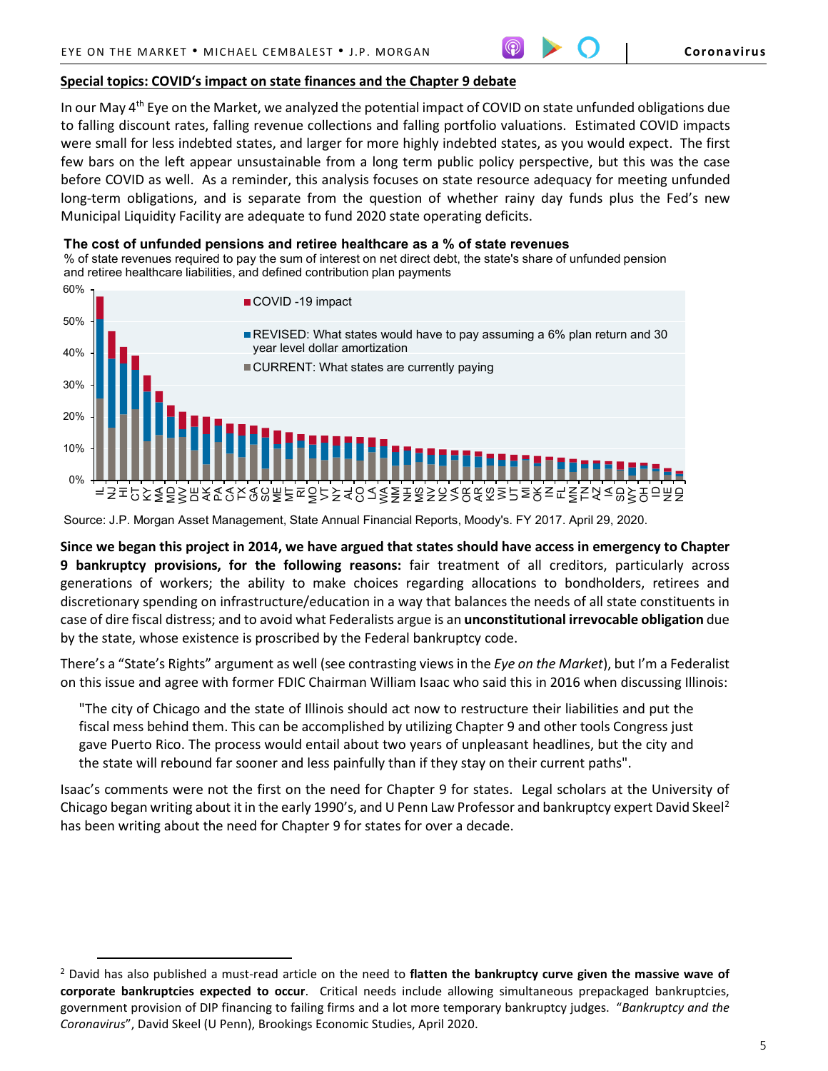## **Special topics: COVID's impact on state finances and the Chapter 9 debate**

In our May  $4<sup>th</sup>$  Eye on the Market, we analyzed the potential impact of COVID on state unfunded obligations due to falling discount rates, falling revenue collections and falling portfolio valuations. Estimated COVID impacts were small for less indebted states, and larger for more highly indebted states, as you would expect. The first few bars on the left appear unsustainable from a long term public policy perspective, but this was the case before COVID as well. As a reminder, this analysis focuses on state resource adequacy for meeting unfunded long-term obligations, and is separate from the question of whether rainy day funds plus the Fed's new Municipal Liquidity Facility are adequate to fund 2020 state operating deficits.

### **The cost of unfunded pensions and retiree healthcare as a % of state revenues**

% of state revenues required to pay the sum of interest on net direct debt, the state's share of unfunded pension and retiree healthcare liabilities, and defined contribution plan payments



Source: J.P. Morgan Asset Management, State Annual Financial Reports, Moody's. FY 2017. April 29, 2020.

**Since we began this project in 2014, we have argued that states should have access in emergency to Chapter 9 bankruptcy provisions, for the following reasons:** fair treatment of all creditors, particularly across generations of workers; the ability to make choices regarding allocations to bondholders, retirees and discretionary spending on infrastructure/education in a way that balances the needs of all state constituents in case of dire fiscal distress; and to avoid what Federalists argue is an **unconstitutional irrevocable obligation** due by the state, whose existence is proscribed by the Federal bankruptcy code.

There's a "State's Rights" argument as well (see contrasting views in the *Eye on the Market*), but I'm a Federalist on this issue and agree with former FDIC Chairman William Isaac who said this in 2016 when discussing Illinois:

"The city of Chicago and the state of Illinois should act now to restructure their liabilities and put the fiscal mess behind them. This can be accomplished by utilizing Chapter 9 and other tools Congress just gave Puerto Rico. The process would entail about two years of unpleasant headlines, but the city and the state will rebound far sooner and less painfully than if they stay on their current paths".

Isaac's comments were not the first on the need for Chapter 9 for states. Legal scholars at the University of Chicago began writing about it in the early 1990's, and U Penn Law Professor and bankruptcy expert David Skeel<sup>[2](#page-4-0)</sup> has been writing about the need for Chapter 9 for states for over a decade.

 $\overline{a}$ 

<span id="page-4-0"></span><sup>2</sup> David has also published a must-read article on the need to **flatten the bankruptcy curve given the massive wave of corporate bankruptcies expected to occur**. Critical needs include allowing simultaneous prepackaged bankruptcies, government provision of DIP financing to failing firms and a lot more temporary bankruptcy judges. "*Bankruptcy and the Coronavirus*", David Skeel (U Penn), Brookings Economic Studies, April 2020.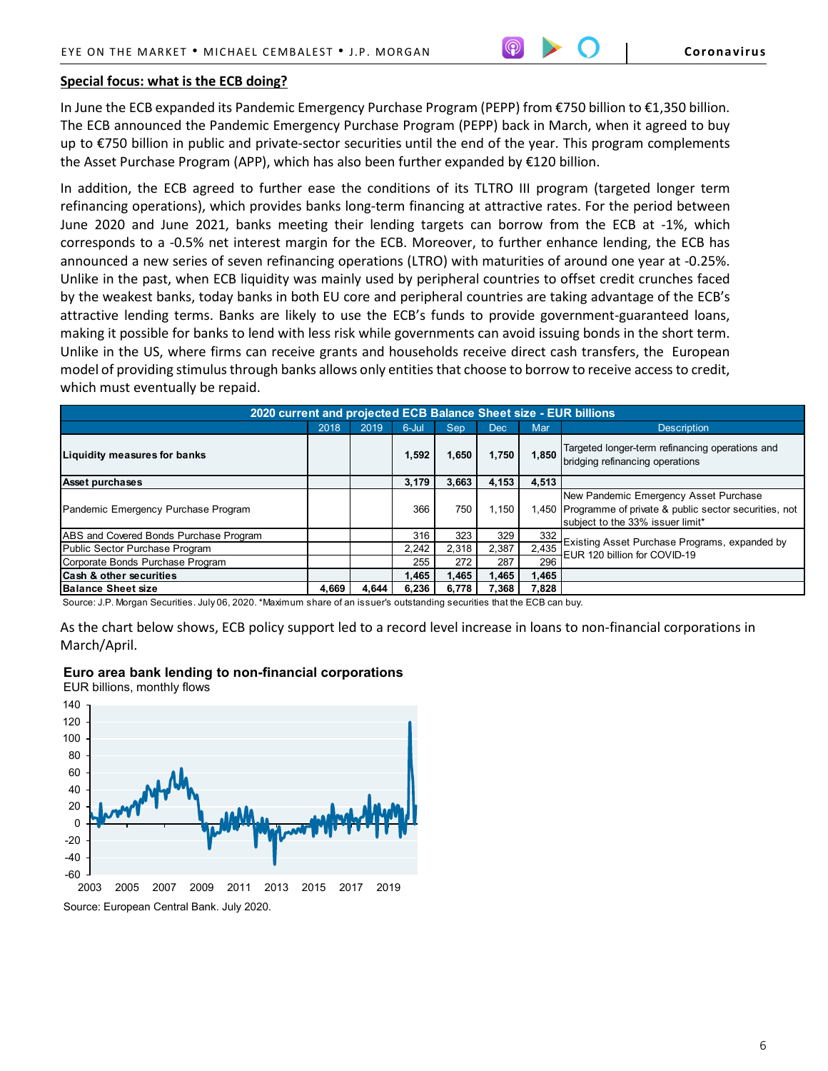#### **Special focus: what is the ECB doing?**

In June the ECB expanded its Pandemic Emergency Purchase Program (PEPP) from €750 billion to €1,350 billion. The ECB announced the Pandemic Emergency Purchase Program (PEPP) back in March, when it agreed to buy up to €750 billion in public and private-sector securities until the end of the year. This program complements the Asset Purchase Program (APP), which has also been further expanded by €120 billion.

In addition, the ECB agreed to further ease the conditions of its TLTRO III program (targeted longer term refinancing operations), which provides banks long-term financing at attractive rates. For the period between June 2020 and June 2021, banks meeting their lending targets can borrow from the ECB at -1%, which corresponds to a -0.5% net interest margin for the ECB. Moreover, to further enhance lending, the ECB has announced a new series of seven refinancing operations (LTRO) with maturities of around one year at -0.25%. Unlike in the past, when ECB liquidity was mainly used by peripheral countries to offset credit crunches faced by the weakest banks, today banks in both EU core and peripheral countries are taking advantage of the ECB's attractive lending terms. Banks are likely to use the ECB's funds to provide government-guaranteed loans, making it possible for banks to lend with less risk while governments can avoid issuing bonds in the short term. Unlike in the US, where firms can receive grants and households receive direct cash transfers, the European model of providing stimulus through banks allows only entities that choose to borrow to receive access to credit, which must eventually be repaid.

| 2020 current and projected ECB Balance Sheet size - EUR billions |       |       |       |       |            |       |                                                                                                                                         |  |
|------------------------------------------------------------------|-------|-------|-------|-------|------------|-------|-----------------------------------------------------------------------------------------------------------------------------------------|--|
|                                                                  | 2018  | 2019  | 6-Jul | Sep   | <b>Dec</b> | Mar   | <b>Description</b>                                                                                                                      |  |
| Liquidity measures for banks                                     |       |       | 1,592 | 1,650 | 1,750      | 1,850 | Targeted longer-term refinancing operations and<br>bridging refinancing operations                                                      |  |
| Asset purchases                                                  |       |       | 3,179 | 3,663 | 4,153      | 4,513 |                                                                                                                                         |  |
| Pandemic Emergency Purchase Program                              |       |       | 366   | 750   | 1.150      |       | New Pandemic Emergency Asset Purchase<br>1,450 Programme of private & public sector securities, not<br>subject to the 33% issuer limit* |  |
| ABS and Covered Bonds Purchase Program                           |       |       | 316   | 323   | 329        | 332   | Existing Asset Purchase Programs, expanded by<br>-EUR 120 billion for COVID-19                                                          |  |
| Public Sector Purchase Program                                   |       |       | 2,242 | 2,318 | 2,387      | 2,435 |                                                                                                                                         |  |
| Corporate Bonds Purchase Program                                 |       |       | 255   | 272   | 287        | 296   |                                                                                                                                         |  |
| <b>Cash &amp; other securities</b>                               |       |       | 1,465 | 1,465 | l,465      | 1,465 |                                                                                                                                         |  |
| <b>Balance Sheet size</b>                                        | 4.669 | 4.644 | 6,236 | 6.778 | 7,368      | 7,828 |                                                                                                                                         |  |

Source: J.P. Morgan Securities. July 06, 2020. \*Maximum share of an issuer's outstanding securities that the ECB can buy.

As the chart below shows, ECB policy support led to a record level increase in loans to non-financial corporations in March/April.

#### **Euro area bank lending to non-financial corporations**

EUR billions, monthly flows



Source: European Central Bank. July 2020.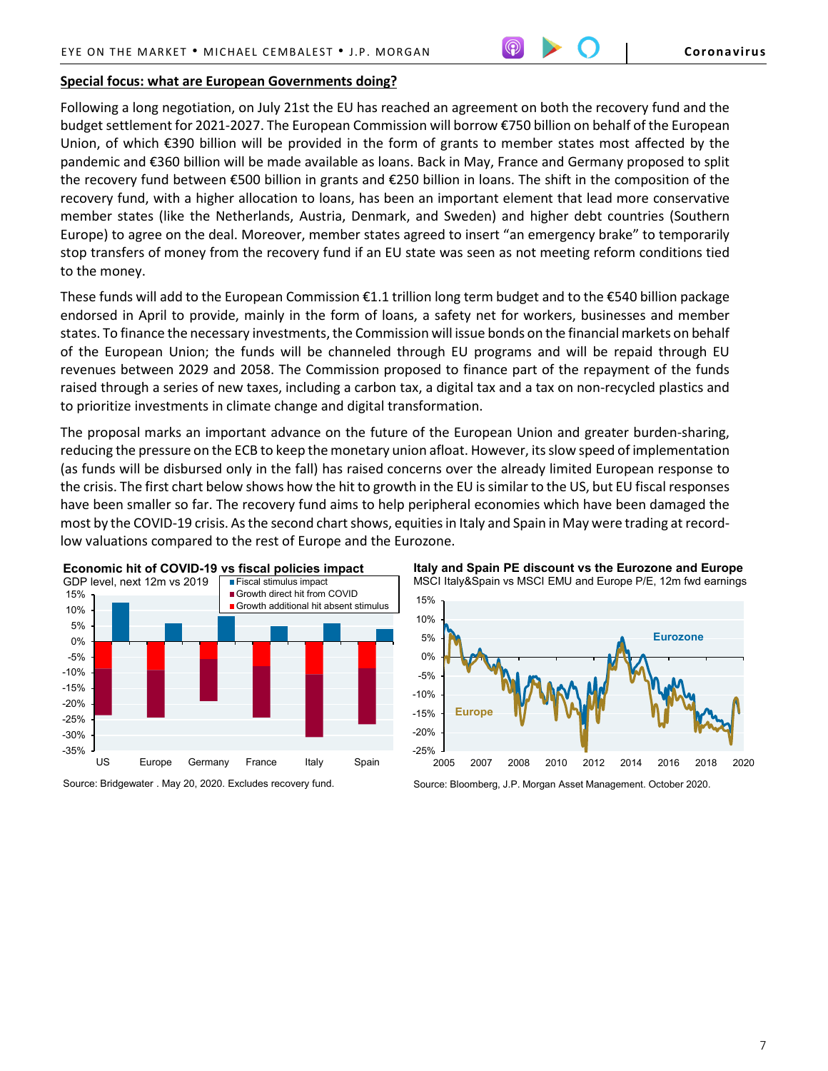## **Special focus: what are European Governments doing?**

Following a long negotiation, on July 21st the EU has reached an agreement on both the recovery fund and the budget settlement for 2021-2027. The European Commission will borrow €750 billion on behalf of the European Union, of which €390 billion will be provided in the form of grants to member states most affected by the pandemic and €360 billion will be made available as loans. Back in May, France and Germany proposed to split the recovery fund between €500 billion in grants and €250 billion in loans. The shift in the composition of the recovery fund, with a higher allocation to loans, has been an important element that lead more conservative member states (like the Netherlands, Austria, Denmark, and Sweden) and higher debt countries (Southern Europe) to agree on the deal. Moreover, member states agreed to insert "an emergency brake" to temporarily stop transfers of money from the recovery fund if an EU state was seen as not meeting reform conditions tied to the money.

These funds will add to the European Commission €1.1 trillion long term budget and to the €540 billion package endorsed in April to provide, mainly in the form of loans, a safety net for workers, businesses and member states. To finance the necessary investments, the Commission will issue bonds on the financial markets on behalf of the European Union; the funds will be channeled through EU programs and will be repaid through EU revenues between 2029 and 2058. The Commission proposed to finance part of the repayment of the funds raised through a series of new taxes, including a carbon tax, a digital tax and a tax on non-recycled plastics and to prioritize investments in climate change and digital transformation.

The proposal marks an important advance on the future of the European Union and greater burden-sharing, reducing the pressure on the ECB to keep the monetary union afloat. However, its slow speed of implementation (as funds will be disbursed only in the fall) has raised concerns over the already limited European response to the crisis. The first chart below shows how the hit to growth in the EU is similar to the US, but EU fiscal responses have been smaller so far. The recovery fund aims to help peripheral economies which have been damaged the most by the COVID-19 crisis. As the second chart shows, equities in Italy and Spain in May were trading at recordlow valuations compared to the rest of Europe and the Eurozone.



Source: Bridgewater . May 20, 2020. Excludes recovery fund.





Source: Bloomberg, J.P. Morgan Asset Management. October 2020.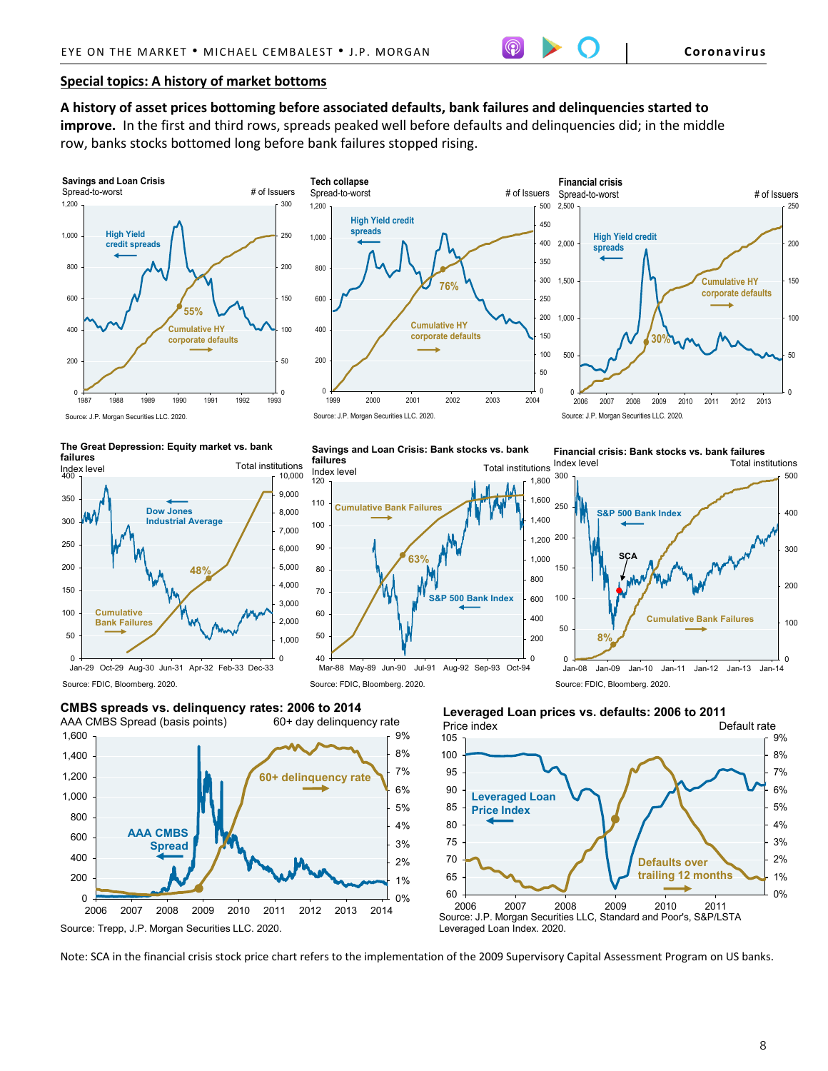## **Special topics: A history of market bottoms**

## **A history of asset prices bottoming before associated defaults, bank failures and delinquencies started to**

**improve.** In the first and third rows, spreads peaked well before defaults and delinquencies did; in the middle row, banks stocks bottomed long before bank failures stopped rising.







**The Great Depression: Equity market vs. bank** 



Source: Trepp, J.P. Morgan Securities LLC. 2020.

Source: FDIC, Bloomberg. 2020.



**CMBS spreads vs. delinquency rates: 2006 to 2014** AAA CMBS Spread (basis points)

**Financial crisis: Bank stocks vs. bank failures**



**Savings and Loan Crisis: Bank stocks vs. bank** 





**Leveraged Loan prices vs. defaults: 2006 to 2011**

Note: SCA in the financial crisis stock price chart refers to the implementation of the 2009 Supervisory Capital Assessment Program on US banks.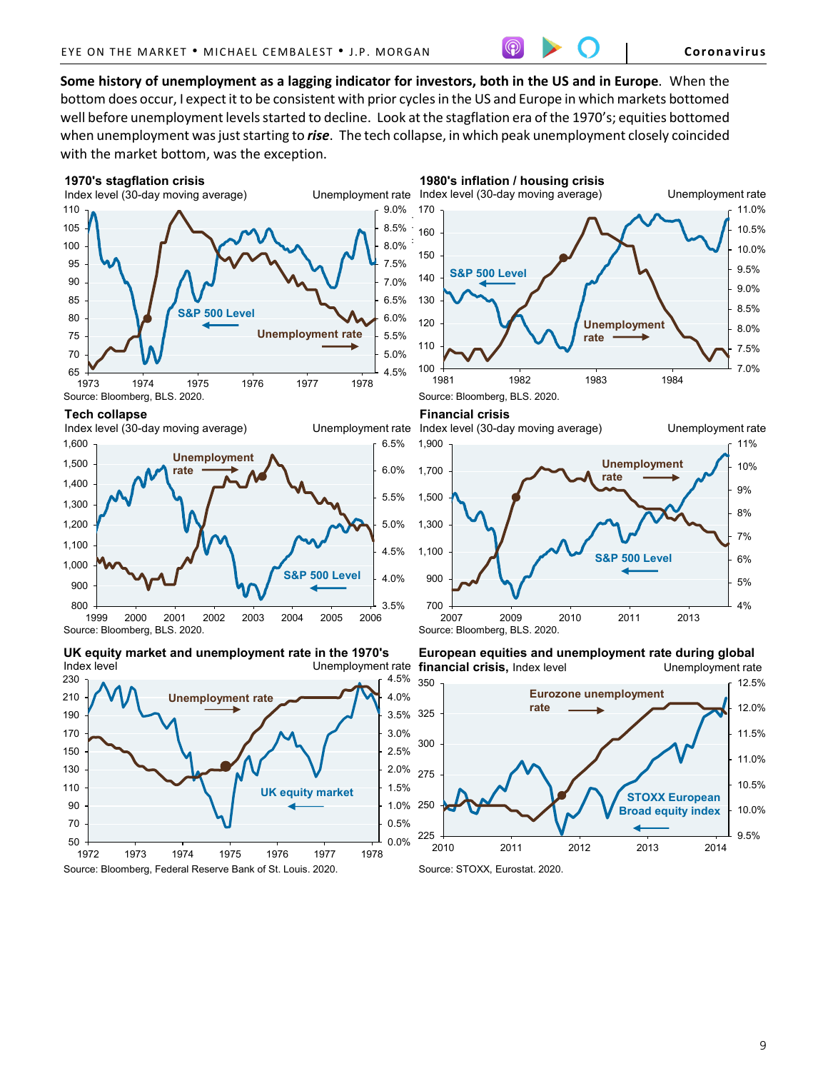**Some history of unemployment as a lagging indicator for investors, both in the US and in Europe**. When the bottom does occur, I expect it to be consistent with prior cycles in the US and Europe in which markets bottomed well before unemployment levels started to decline. Look at the stagflation era of the 1970's; equities bottomed when unemployment was just starting to *rise*. The tech collapse, in which peak unemployment closely coincided with the market bottom, was the exception.

#### **1970's stagflation crisis**

4.5% 5.0% 5.5% 6.0% 6.5% 7.0% 7.5% 8.0% 8.5% 9.0% 65 70 75 80 85 90 95 100 105 110 1973 1974 1975 1976 1977 1978 **S&P 500 Level Unemployment rate** Index level  $(30$ -day moving average) Source: Bloomberg, BLS. 2020.







Source: Bloomberg, Federal Reserve Bank of St. Louis. 2020.

 $\begin{bmatrix} 1 \\ 1 \end{bmatrix}$ 170 **1980's inflation / housing crisis** Unemployment rate Index level (30-day moving average) Unemployment rate





Source: Bloomberg, BLS. 2020.



**European equities and unemployment rate during global**  financial crisis, Index level

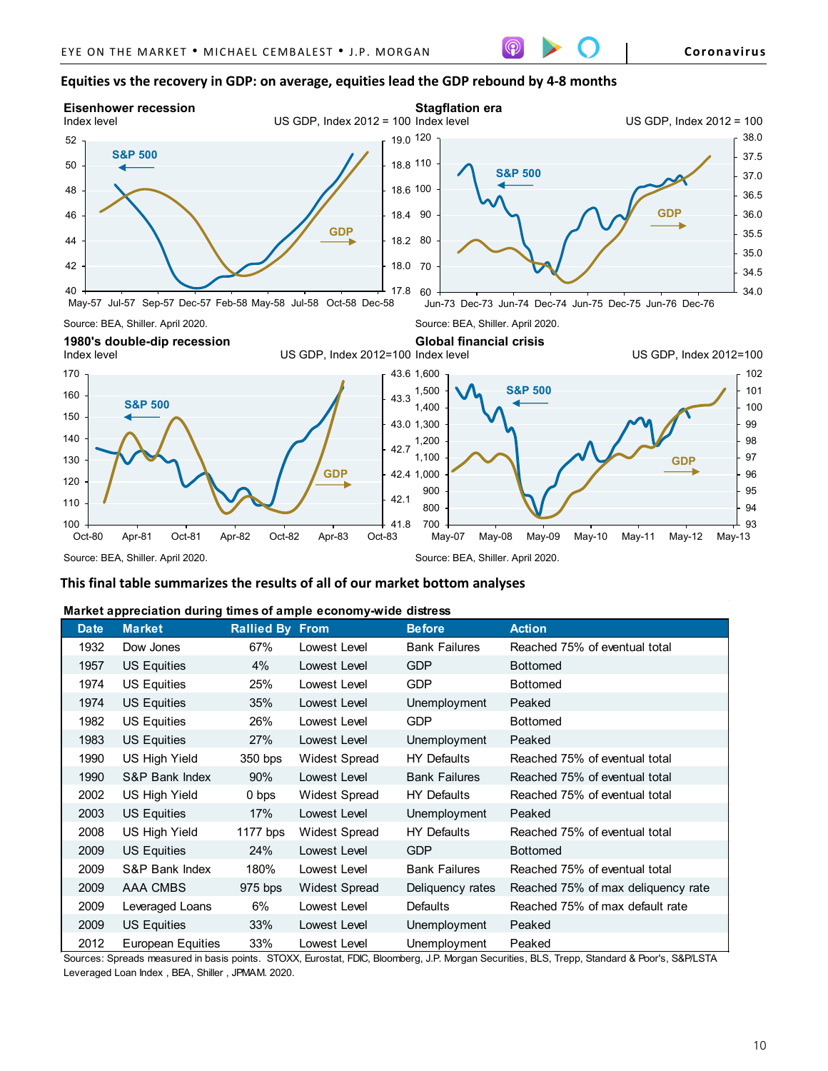#### **Equities vs the recovery in GDP: on average, equities lead the GDP rebound by 4-8 months**



#### **This final table summarizes the results of all of our market bottom analyses**

#### **Market appreciation during times of ample economy-wide distress**

| <b>Date</b> | <b>Market</b>      | <b>Rallied By From</b> |                      | <b>Before</b>        | <b>Action</b>                      |
|-------------|--------------------|------------------------|----------------------|----------------------|------------------------------------|
| 1932        | Dow Jones          | 67%                    | Lowest Level         | <b>Bank Failures</b> | Reached 75% of eventual total      |
| 1957        | US Equities        | 4%                     | Lowest Level         | <b>GDP</b>           | <b>Bottomed</b>                    |
| 1974        | US Equities        | 25%                    | Lowest Level         | <b>GDP</b>           | <b>Bottomed</b>                    |
| 1974        | US Equities        | 35%                    | Lowest Level         | Unemployment         | Peaked                             |
| 1982        | US Equities        | 26%                    | Lowest Level         | <b>GDP</b>           | <b>Bottomed</b>                    |
| 1983        | US Equities        | 27%                    | Lowest Level         | Unemployment         | Peaked                             |
| 1990        | US High Yield      | 350 bps                | Widest Spread        | HY Defaults          | Reached 75% of eventual total      |
| 1990        | S&P Bank Index     | $90\%$                 | Lowest Level         | <b>Bank Failures</b> | Reached 75% of eventual total      |
| 2002        | US High Yield      | 0 bps                  | Widest Spread        | HY Defaults          | Reached 75% of eventual total      |
| 2003        | <b>US Equities</b> | 17%                    | Lowest Level         | Unemployment         | Peaked                             |
| 2008        | US High Yield      | 1177 $bps$             | <b>Widest Spread</b> | <b>HY Defaults</b>   | Reached 75% of eventual total      |
| 2009        | <b>US Equities</b> | 24%                    | Lowest Level         | <b>GDP</b>           | <b>Bottomed</b>                    |
| 2009        | S&P Bank Index     | 180%                   | Lowest Level         | <b>Bank Failures</b> | Reached 75% of eventual total      |
| 2009        | AAA CMBS           | $975$ bps              | <b>Widest Spread</b> | Deliquency rates     | Reached 75% of max deliquency rate |
| 2009        | Leveraged Loans    | 6%                     | Lowest Level         | <b>Defaults</b>      | Reached 75% of max default rate    |
| 2009        | US Equities        | 33%                    | Lowest Level         | Unemployment         | Peaked                             |
| 2012        | European Equities  | 33%                    | Lowest Level         | Unemployment         | Peaked                             |

Sources: Spreads measured in basis points. STOXX, Eurostat, FDIC, Bloomberg, J.P. Morgan Securities, BLS, Trepp, Standard & Poor's, S&P/LSTA Leveraged Loan Index , BEA, Shiller , JPMAM. 2020.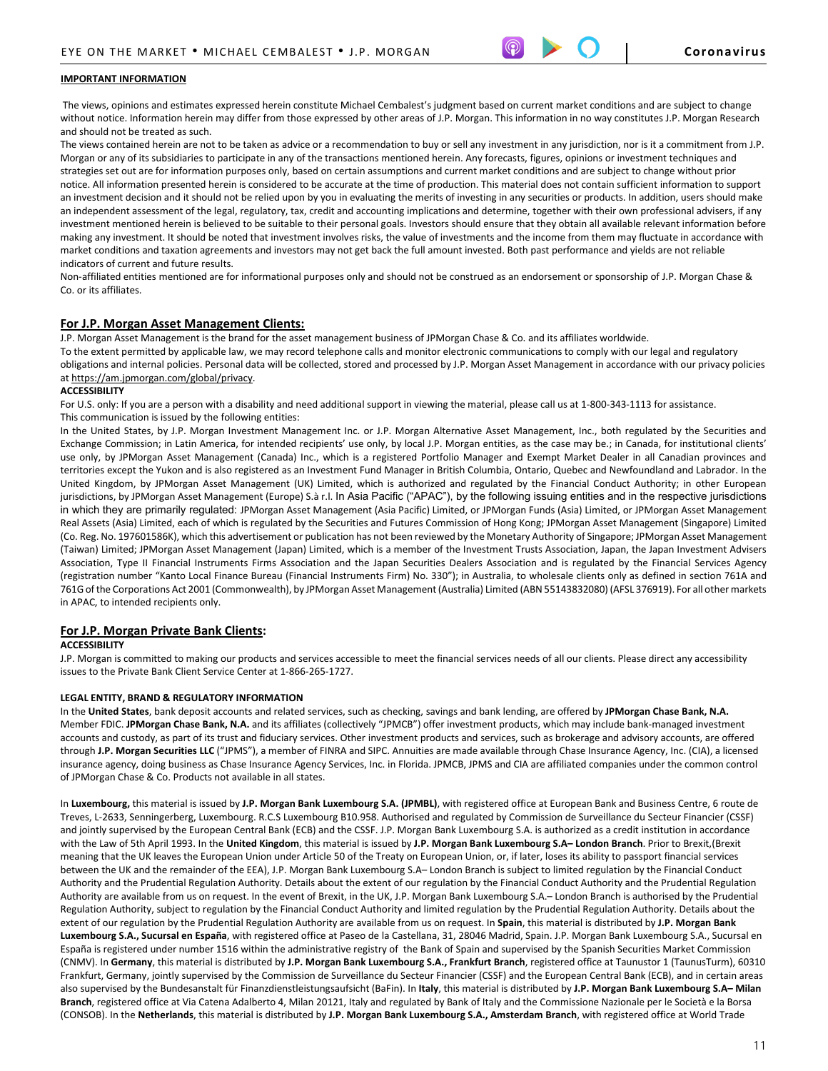

#### **IMPORTANT INFORMATION**

The views, opinions and estimates expressed herein constitute Michael Cembalest's judgment based on current market conditions and are subject to change without notice. Information herein may differ from those expressed by other areas of J.P. Morgan. This information in no way constitutes J.P. Morgan Research and should not be treated as such.

The views contained herein are not to be taken as advice or a recommendation to buy or sell any investment in any jurisdiction, nor is it a commitment from J.P. Morgan or any of its subsidiaries to participate in any of the transactions mentioned herein. Any forecasts, figures, opinions or investment techniques and strategies set out are for information purposes only, based on certain assumptions and current market conditions and are subject to change without prior notice. All information presented herein is considered to be accurate at the time of production. This material does not contain sufficient information to support an investment decision and it should not be relied upon by you in evaluating the merits of investing in any securities or products. In addition, users should make an independent assessment of the legal, regulatory, tax, credit and accounting implications and determine, together with their own professional advisers, if any investment mentioned herein is believed to be suitable to their personal goals. Investors should ensure that they obtain all available relevant information before making any investment. It should be noted that investment involves risks, the value of investments and the income from them may fluctuate in accordance with market conditions and taxation agreements and investors may not get back the full amount invested. Both past performance and yields are not reliable indicators of current and future results.

Non-affiliated entities mentioned are for informational purposes only and should not be construed as an endorsement or sponsorship of J.P. Morgan Chase & Co. or its affiliates.

#### **For J.P. Morgan Asset Management Clients:**

J.P. Morgan Asset Management is the brand for the asset management business of JPMorgan Chase & Co. and its affiliates worldwide.

To the extent permitted by applicable law, we may record telephone calls and monitor electronic communications to comply with our legal and regulatory obligations and internal policies. Personal data will be collected, stored and processed by J.P. Morgan Asset Management in accordance with our privacy policies a[t https://am.jpmorgan.com/global/privacy.](https://am.jpmorgan.com/global/privacy)

#### **ACCESSIBILITY**

For U.S. only: If you are a person with a disability and need additional support in viewing the material, please call us at 1-800-343-1113 for assistance. This communication is issued by the following entities:

In the United States, by J.P. Morgan Investment Management Inc. or J.P. Morgan Alternative Asset Management, Inc., both regulated by the Securities and Exchange Commission; in Latin America, for intended recipients' use only, by local J.P. Morgan entities, as the case may be.; in Canada, for institutional clients' use only, by JPMorgan Asset Management (Canada) Inc., which is a registered Portfolio Manager and Exempt Market Dealer in all Canadian provinces and territories except the Yukon and is also registered as an Investment Fund Manager in British Columbia, Ontario, Quebec and Newfoundland and Labrador. In the United Kingdom, by JPMorgan Asset Management (UK) Limited, which is authorized and regulated by the Financial Conduct Authority; in other European jurisdictions, by JPMorgan Asset Management (Europe) S.à r.l. In Asia Pacific ("APAC"), by the following issuing entities and in the respective jurisdictions in which they are primarily regulated: JPMorgan Asset Management (Asia Pacific) Limited, or JPMorgan Funds (Asia) Limited, or JPMorgan Asset Management Real Assets (Asia) Limited, each of which is regulated by the Securities and Futures Commission of Hong Kong; JPMorgan Asset Management (Singapore) Limited (Co. Reg. No. 197601586K), which this advertisement or publication has not been reviewed by the Monetary Authority of Singapore; JPMorgan Asset Management (Taiwan) Limited; JPMorgan Asset Management (Japan) Limited, which is a member of the Investment Trusts Association, Japan, the Japan Investment Advisers Association, Type II Financial Instruments Firms Association and the Japan Securities Dealers Association and is regulated by the Financial Services Agency (registration number "Kanto Local Finance Bureau (Financial Instruments Firm) No. 330"); in Australia, to wholesale clients only as defined in section 761A and 761G of the Corporations Act 2001 (Commonwealth), by JPMorgan Asset Management (Australia) Limited (ABN 55143832080) (AFSL 376919). For all other markets in APAC, to intended recipients only.

#### **For J.P. Morgan Private Bank Clients:**

#### **ACCESSIBILITY**

J.P. Morgan is committed to making our products and services accessible to meet the financial services needs of all our clients. Please direct any accessibility issues to the Private Bank Client Service Center at 1-866-265-1727.

#### **LEGAL ENTITY, BRAND & REGULATORY INFORMATION**

In the **United States**, bank deposit accounts and related services, such as checking, savings and bank lending, are offered by **JPMorgan Chase Bank, N.A.**  Member FDIC. **JPMorgan Chase Bank, N.A.** and its affiliates (collectively "JPMCB") offer investment products, which may include bank-managed investment accounts and custody, as part of its trust and fiduciary services. Other investment products and services, such as brokerage and advisory accounts, are offered through **J.P. Morgan Securities LLC** ("JPMS"), a member of FINRA and SIPC. Annuities are made available through Chase Insurance Agency, Inc. (CIA), a licensed insurance agency, doing business as Chase Insurance Agency Services, Inc. in Florida. JPMCB, JPMS and CIA are affiliated companies under the common control of JPMorgan Chase & Co. Products not available in all states.

In **Luxembourg,** this material is issued by **J.P. Morgan Bank Luxembourg S.A. (JPMBL)**, with registered office at European Bank and Business Centre, 6 route de Treves, L-2633, Senningerberg, Luxembourg. R.C.S Luxembourg B10.958. Authorised and regulated by Commission de Surveillance du Secteur Financier (CSSF) and jointly supervised by the European Central Bank (ECB) and the CSSF. J.P. Morgan Bank Luxembourg S.A. is authorized as a credit institution in accordance with the Law of 5th April 1993. In the **United Kingdom**, this material is issued by **J.P. Morgan Bank Luxembourg S.A– London Branch**. Prior to Brexit,(Brexit meaning that the UK leaves the European Union under Article 50 of the Treaty on European Union, or, if later, loses its ability to passport financial services between the UK and the remainder of the EEA), J.P. Morgan Bank Luxembourg S.A– London Branch is subject to limited regulation by the Financial Conduct Authority and the Prudential Regulation Authority. Details about the extent of our regulation by the Financial Conduct Authority and the Prudential Regulation Authority are available from us on request. In the event of Brexit, in the UK, J.P. Morgan Bank Luxembourg S.A.– London Branch is authorised by the Prudential Regulation Authority, subject to regulation by the Financial Conduct Authority and limited regulation by the Prudential Regulation Authority. Details about the extent of our regulation by the Prudential Regulation Authority are available from us on request. In **Spain**, this material is distributed by **J.P. Morgan Bank Luxembourg S.A., Sucursal en España**, with registered office at Paseo de la Castellana, 31, 28046 Madrid, Spain. J.P. Morgan Bank Luxembourg S.A., Sucursal en España is registered under number 1516 within the administrative registry of the Bank of Spain and supervised by the Spanish Securities Market Commission (CNMV). In **Germany**, this material is distributed by **J.P. Morgan Bank Luxembourg S.A., Frankfurt Branch**, registered office at Taunustor 1 (TaunusTurm), 60310 Frankfurt, Germany, jointly supervised by the Commission de Surveillance du Secteur Financier (CSSF) and the European Central Bank (ECB), and in certain areas also supervised by the Bundesanstalt für Finanzdienstleistungsaufsicht (BaFin). In **Italy**, this material is distributed by **J.P. Morgan Bank Luxembourg S.A– Milan Branch**, registered office at Via Catena Adalberto 4, Milan 20121, Italy and regulated by Bank of Italy and the Commissione Nazionale per le Società e la Borsa (CONSOB). In the **Netherlands**, this material is distributed by **J.P. Morgan Bank Luxembourg S.A., Amsterdam Branch**, with registered office at World Trade